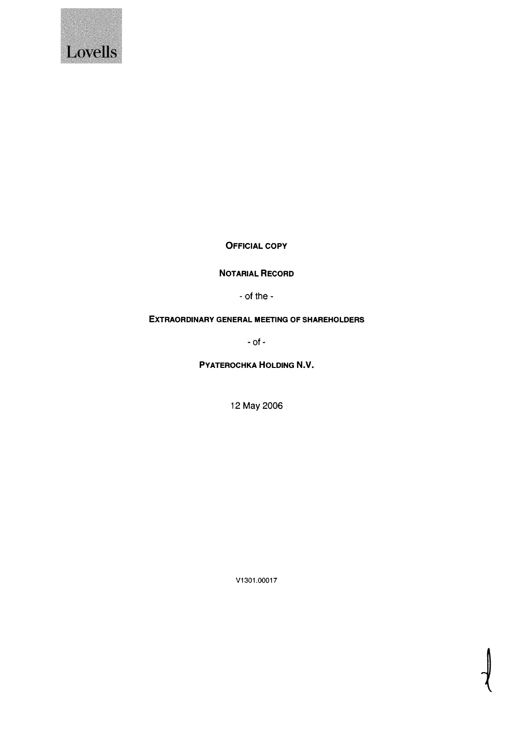

OFFICIAL COPY

N0TARIAL REcoRD

- of the -

# EXTRAORDINARY GENERAL MEETING OF SHAREHOLDERS

- of -

PYATEROCHKA HOLDING N.V.

12 May 2006

V1301.00017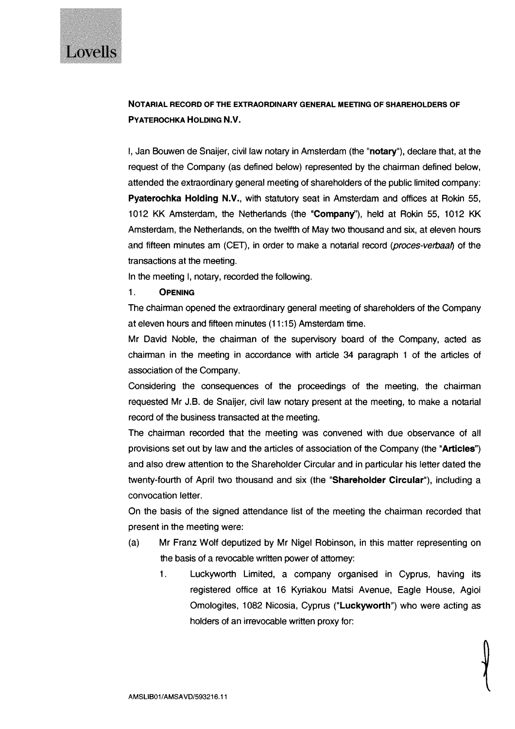

# N0TARIAL RECORD OF THE EXTRAORDINARY GENERAL MEETING OF SHAREHOLDERS OF PYATER0CHKA HOLDING N.y.

I, Jan Bouwen de Snaijer, civil law notary in Amsterdam (the "notary"), declare that, at the request of the Company (as defined below) represented by the chairman defined below, attended the extraordinary general meeting of shareholders of the public limited company: Pyaterochka Holding N.V., with statutory seat in Amsterdam and offices at Rokin 55, 1012 KK Amsterdam, the Netherlands (the "Company'), held at Rokin 55, 1012 KK Amsterdam, the Netherlands, on the twelfth of May two thousand and six, at eleven hours and fifteen minutes am (CET), in order to make a notarial record (*proces-verbaal*) of the transactions at the meeting.

In the meeting I, notary, recorded the following.

## 1. OPENING

The chairman opened the extraordinary general meeting of shareholders of the Company at eleven hours and fifteen minutes (11:15) Amsterdam time.

Mr David Noble, the chairman of the supervisory board of the Company, acted as chairman in the meeting in accordance with article 34 paragraph <sup>1</sup> of the articles of association of the Company.

Considering the consequences of the proceedings of the meeting, the chairman requested Mr J.B. de Snaijer, civil law notary present at the meeting, to make a notarial record of the business transacted at the meeting.

The chairman recorded that the meeting was convened with due observance of all provisions set out by law and the articles of association of the Company (the "Articles") and also drew attention to the Shareholder Circular and in particular his letter dated the twenty-fourth of April two thousand and six (the "Shareholder Circular"), including a convocation letter.

On the basis of the signed attendance list of the meeting the chairman recorded that present in the meeting were:

- (a) Mr Franz Wolf deputized by Mr Nigel Robinson, in this matter representing on the basis of a revocable written power of attorney:
	- 1. Luckyworth Limited, a company organised in Cyprus, having its registered office at 16 Kyriakou Matsi Avenue, Eagle House, Agioi Omologites, 1082 Nicosia, Cyprus ("Luckyworth") who were acting as holders of an irrevocable written proxy for: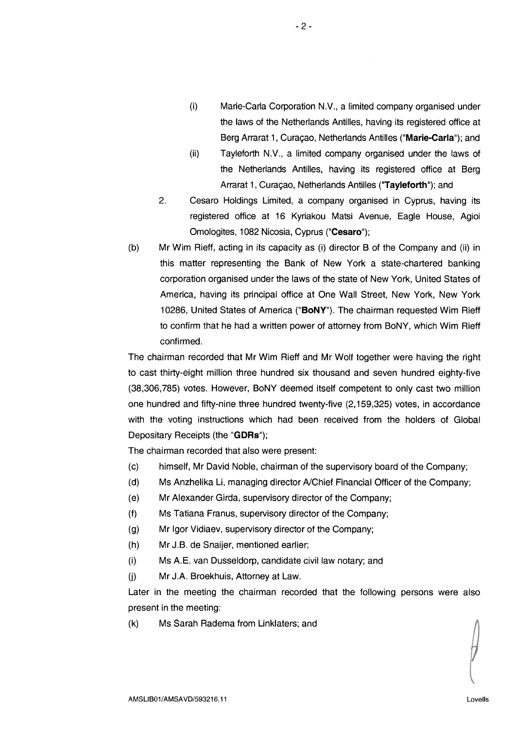- $(i)$  Marie-Carla Corporation N.V., a limited company organised under the laws of the Netherlands Antilles, having its registered office at Berg Arrarat 1, Curaçao, Netherlands Antilles ("Marie-Carla"); and
- (ii) Tayleforth N.y., a limited company organised under the laws of the Netherlands Antilles, having its registered office at Berg Arrarat 1, Curaçao, Netherlands Antilles ("Tayleforth"); and
- 2. Cesaro Holdings Limited, a company organised in Cyprus, having its registered office at 16 Kyriakou Matsi Avenue, Eagle House, Agioi Omologites, 1082 Nicosia, Cyprus ("Cesaro");
- (b) Mr Wim Rieff, acting in its capacity as (i) director B of the Company and (ii) in this matter representing the Bank of New York a state-chartered banking corporation organised under the laws of the state of New York, United States of America, having its principal office at One Wall Street, New York, New York 10286, United States of America ("BoNY"). The chairman requested Wim Rieff to confirm that he had a written power of attorney from BoNY, which Wim Rieff confirmed.

The chairman recorded that Mr Wim Rieff and Mr Wolf together were having the right to cast thirty-eight million three hundred six thousand and seven hundred eighty-five (38,306,785) votes. However, BoNY deemed itself competent to only cast two million one hundred and fifty-nine three hundred twenty-five (2,159,325) votes, in accordance with the voting instructions which had been received from the holders of Global Depositary Receipts (the "GDRs");

The chairman recorded that also were present:

- (c) himself, Mr David Noble, chairman of the supervisory board of the Company;
- (d) Ms Anzhelika Li, managing director A/Chief Financial Officer of the Company;
- (e) Mr Alexander Girda, supervisory director of the Company;
- (f) Ms Tatiana Franus, supervisory director of the Company;
- (g) Mr Igor Vidiaev, supervisory director of the Company;
- (h) Mr J.B. de Snaijer, mentioned earlier;
- (i) Ms A.E. van Dusseldorp, candidate civil law notary; and
- (j) Mr J.A. Broekhuis, Attorney at Law.

Later in the meeting the chairman recorded that the following persons were also present in the meeting:

(k) Ms Sarah Radema from Linklaters; and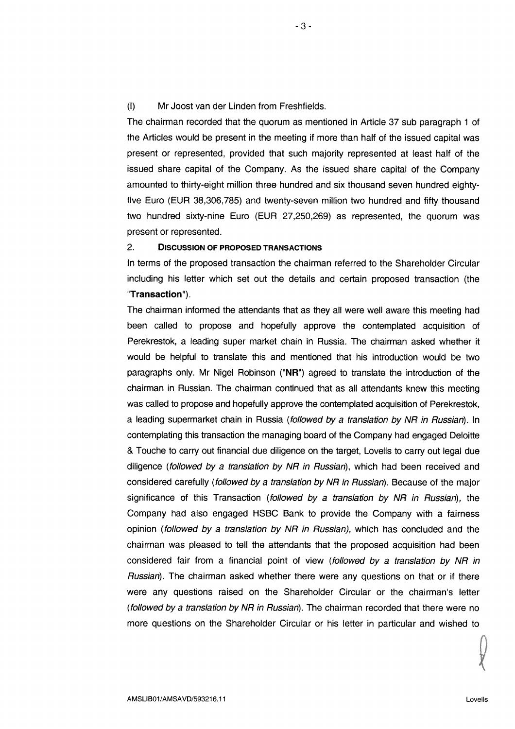(I) Mr Joost van der Linden from Freshfields.

The chairman recorded that the quorum as mentioned in Article 37 sub paragraph <sup>1</sup> of the Articles would be present in the meeting if more than half of the issued capital was present or represented, provided that such majority represented at least half of the issued share capital of the Company. As the issued share capital of the Company amounted to thirty-eight million three hundred and six thousand seven hundred eightyfive Euro (EUR 38,306,785) and twenty-seven million two hundred and fifty thousand two hundred sixty-nine Euro (EUR 27,250,269) as represented, the quorum was present or represented.

## 2. DISCUSSION OF PROPOSED TRANSACTIONS

In terms of the proposed transaction the chairman referred to the Shareholder Circular including his letter which set out the details and certain proposed transaction (the 'Transaction).

The chairman informed the attendants that as they all were well aware this meeting had been called to propose and hopefully approve the contemplated acquisition of Perekrestok, a leading super market chain in Russia. The chairman asked whether it would be helpful to translate this and mentioned that his introduction would be two paragraphs only. Mr Nigel Robinson ("NR") agreed to translate the introduction of the chairman in Russian. The chairman continued that as all attendants knew this meeting was called to propose and hopefully approve the contemplated acquisition of Perekrestok, a leading supermarket chain in Russia (followed by a translation by NR in Russian). In contemplating this transaction the managing board of the Company had engaged Deloitte & Touche to carry out financial due diligence on the target, Lovells to carry out legal due diligence (followed by a translation by NR in Russian), which had been received and considered carefully (followed by a translation by NR in Russian). Because of the major significance of this Transaction (followed by a translation by NR in Russian), the Company had also engaged HSBC Bank to provide the Company with a fairness opinion (followed by a translation by NR in Russian), which has concluded and the chairman was pleased to tell the attendants that the proposed acquisition had been considered fair from a financial point of view (followed by a translation by NR in Russian). The chairman asked whether there were any questions on that or if there were any questions raised on the Shareholder Circular or the chairman's letter (followed by a translation by NR in Russian). The chairman recorded that there were no more questions on the Shareholder Circular or his letter in particular and wished to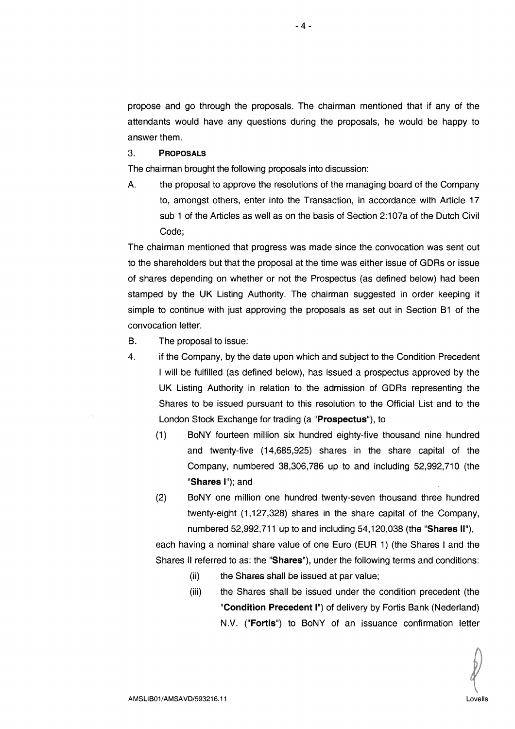propose and go through the proposals. The chairman mentioned that if any of the attendants would have any questions during the proposals, he would be happy to answer them.

#### 3. PRoPosALs

The chairman brought the following proposals into discussion:

A. the proposal to approve the resolutions of the managing board of the Company to, amongst others, enter into the Transaction, in accordance with Article 17 sub <sup>1</sup> of the Articles as well as on the basis of Section 2:107a of the Dutch Civil Code;

The chairman mentioned that progress was made since the convocation was sent out to the shareholders but that the proposal at the time was either issue of GDRs or issue of shares depending on whether or not the Prospectus (as defined below) had been stamped by the UK Listing Authority. The chairman suggested in order keeping it simple to continue with just approving the proposals as set out in Section 61 of the convocation letter.

- B. The proposal to issue:
- 4. if the Company, by the date upon which and subject to the Condition Precedent <sup>I</sup> will be fulfilled (as defined below), has issued a prospectus approved by the UK Listing Authority in relation to the admission of GDRs representing the Shares to be issued pursuant to this resolution to the Official List and to the London Stock Exchange for trading (a 'Prospectus"), to
	- (1) BoNY fourteen million six hundred eighty-five thousand nine hundred and twenty-five (14,685,925) shares in the share capital of the Company, numbered 38,306,786 up to and including 52,992,710 (the "Shares I"); and
	- (2) BoNY one million one hundred twenty-seven thousand three hundred twenty-eight (1,127,328) shares in the share capital of the Company, numbered 52,992,711 up to and including 54,120,038 (the "Shares II"),

each having a nominal share value of one Euro (EUR 1) (the Shares <sup>I</sup> and the Shares II referred to as: the "Shares"), under the following terms and conditions:

- (ii) the Shares shall be issued at par value:
- (iii) the Shares shall be issued under the condition precedent (the "Condition Precedent I") of delivery by Fortis Bank (Nederland) NV. ("Fortis") to BoNY of an issuance confirmation letter

-4-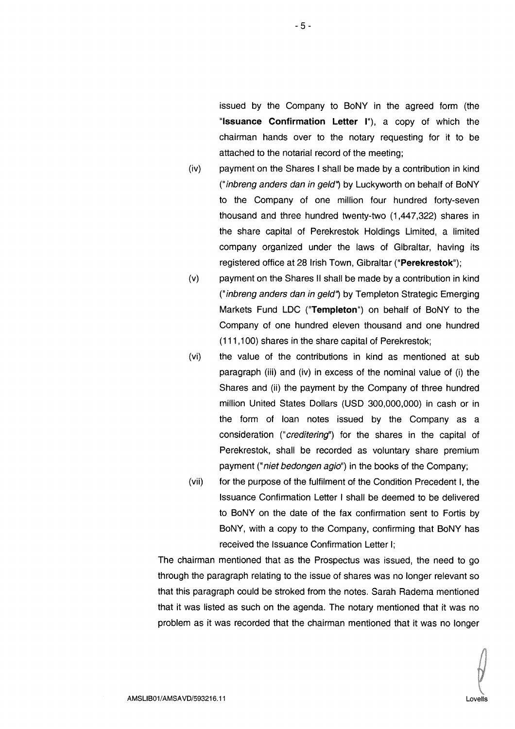issued by the Company to BoNY in the agreed form (the 'Issuance Confirmation Letter I"), a copy of which the chairman hands over to the notary requesting for it to be attached to the notarial record of the meeting;

- (iv) payment on the Shares <sup>I</sup> shall be made by a contribution in kind ("inbreng anders dan in geld") by Luckyworth on behalf of BoNY to the Company of one million four hundred forty-seven thousand and three hundred twenty-two (1,447,322) shares in the share capital of Perekrestok Holdings Limited, a limited company organized under the laws of Gibraltar, having its registered office at 28 Irish Town, Gibraltar ("Perekrestok");
- (v) payment on the Shares II shall be made by a contribution in kind ("inbreng anders dan in geld') by Templeton Strategic Emerging Markets Fund LDC ("Templeton") on behalf of BoNY to the Company of one hundred eleven thousand and one hundred (111,100) shares in the share capital of Perekrestok;
- (vi) the value of the contributions in kind as mentioned at sub paragraph (iii) and (iv) in excess of the nominal value of (i) the Shares and (ii) the payment by the Company of three hundred million United States Dollars (USD 300,000,000) in cash or in the form of loan notes issued by the Company as a consideration ("creditering") for the shares in the capital of Perekrestok, shall be recorded as voluntary share premium payment ("*niet bedongen agio*") in the books of the Company;
- (vii) for the purpose of the fulfilment of the Condition Precedent I, the Issuance Confirmation Letter <sup>I</sup> shall be deemed to be delivered to BoNY on the date of the fax confirmation sent to Fortis by BoNY, with a copy to the Company, confirming that BONY has received the Issuance Confirmation Letter I;

The chairman mentioned that as the Prospectus was issued, the need to go through the paragraph relating to the issue of shares was no longer relevant so that this paragraph could be stroked from the notes. Sarah Radema mentioned that it was listed as such on the agenda. The notary mentioned that it was no problem as it was recorded that the chairman mentioned that it was no longer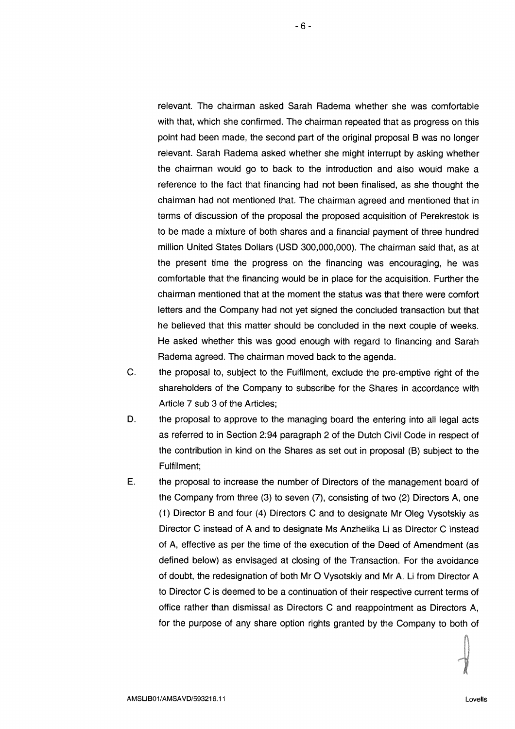relevant. The chairman asked Sarah Radema whether she was comfortable with that, which she confirmed. The chairman repeated that as progress on this point had been made, the second part of the original proposal B was no longer relevant. Sarah Radema asked whether she might interrupt by asking whether the chairman would go to back to the introduction and also would make a reference to the fact that financing had not been finalised, as she thought the chairman had not mentioned that. The chairman agreed and mentioned that in terms of discussion of the proposal the proposed acquisition of Perekrestok is to be made a mixture of both shares and a financial payment of three hundred million United States Dollars (USD 300,000,000). The chairman said that, as at the present time the progress on the financing was encouraging, he was comfortable that the financing would be in place for the acquisition. Further the chairman mentioned that at the moment the status was that there were comfort letters and the Company had not yet signed the concluded transaction but that he believed that this matter should be concluded in the next couple of weeks. He asked whether this was good enough with regard to financing and Sarah Radema agreed. The chairman moved back to the agenda.

- C. the proposal to, subject to the Fulfilment, exclude the pre-emptive right of the shareholders of the Company to subscribe for the Shares in accordance with Article 7 sub 3 of the Articles;
- D. the proposal to approve to the managing board the entering into all legal acts as referred to in Section 2:94 paragraph 2 of the Dutch Civil Code in respect of the contribution in kind on the Shares as set out in proposal (B) subject to the Fulfilment;
- E. the proposal to increase the number of Directors of the management board of the Company from three (3) to seven (7), consisting of two (2) Directors A, one (1) Director B and four (4) Directors C and to designate Mr Oleg Vysotskiy as Director C instead of A and to designate Ms Anzhelika Li as Director C instead of A, effective as per the time of the execution of the Deed of Amendment (as defined below) as envisaged at closing of the Transaction. For the avoidance of doubt, the redesignation of both Mr 0 Vysotskiy and Mr A. Li from Director <sup>A</sup> to Director C is deemed to be a continuation of their respective current terms of office rather than dismissal as Directors C and reappointment as Directors A, for the purpose of any share option rights granted by the Company to both of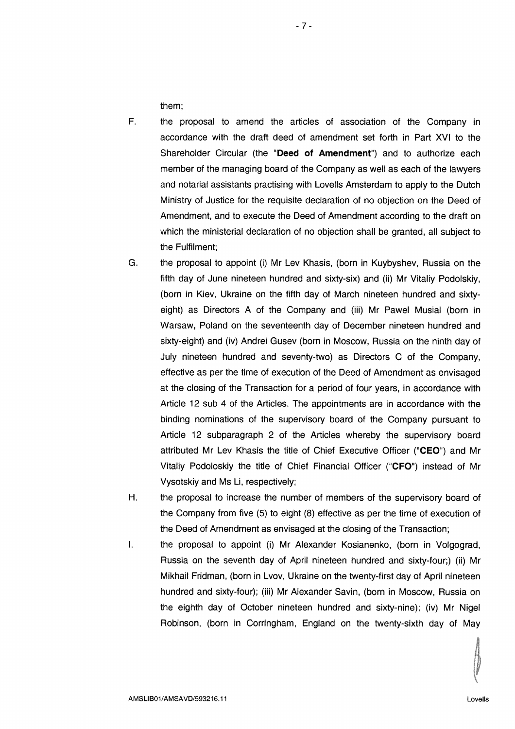them;

- F. the proposal to amend the articles of association of the Company in accordance with the draft deed of amendment set forth in Part XVI to the Shareholder Circular (the "Deed of Amendment") and to authorize each member of the managing board of the Company as well as each of the lawyers and notarial assistants practising with Lovells Amsterdam to apply to the Dutch Ministry of Justice for the requisite declaration of no objection on the Deed of Amendment, and to execute the Deed of Amendment according to the draft on which the ministerial declaration of no objection shall be granted, all subject to the Fulfilment;
- G. the proposal to appoint (i) Mr Lev Khasis, (born in Kuybyshev, Russia on the fifth day of June nineteen hundred and sixty-six) and (ii) Mr Vitaliy Podolskiy, (born in Kiev, Ukraine on the fifth day of March nineteen hundred and sixtyeight) as Directors A of the Company and (iii) Mr Pawel Musial (born in Warsaw, Poland on the seventeenth day of December nineteen hundred and sixty-eight) and (iv) Andrei Gusev (born in Moscow, Russia on the ninth day of July nineteen hundred and seventy-two) as Directors C of the Company, effective as per the time of execution of the Deed of Amendment as envisaged at the closing of the Transaction for a period of four years, in accordance with Article 12 sub 4 of the Articles. The appointments are in accordance with the binding nominations of the supervisory board of the Company pursuant to Article 12 subparagraph 2 of the Articles whereby the supervisory board attributed Mr Lev Khasis the title of Chief Executive Officer ("CEO") and Mr Vitaliy Podoloskiy the title of Chief Financial Officer ("CFO") instead of Mr Vysotskiy and Ms Li, respectively;
- H. the proposal to increase the number of members of the supervisory board of the Company from five (5) to eight (8) effective as per the time of execution of the Deed of Amendment as envisaged at the closing of the Transaction;
- $\mathbf{L}$ the proposal to appoint (i) Mr Alexander Kosianenko, (born in Volgograd, Russia on the seventh day of April nineteen hundred and sixty-four;) (ii) Mr Mikhail Fridman, (born in Lvov, Ukraine on the twenty-first day of April nineteen hundred and sixty-four); (iii) Mr Alexander Savin, (born in Moscow, Russia on the eighth day of October nineteen hundred and sixty-nine); (iv) Mr Nigel Robinson, (born in Corringham, England on the twenty-sixth day of May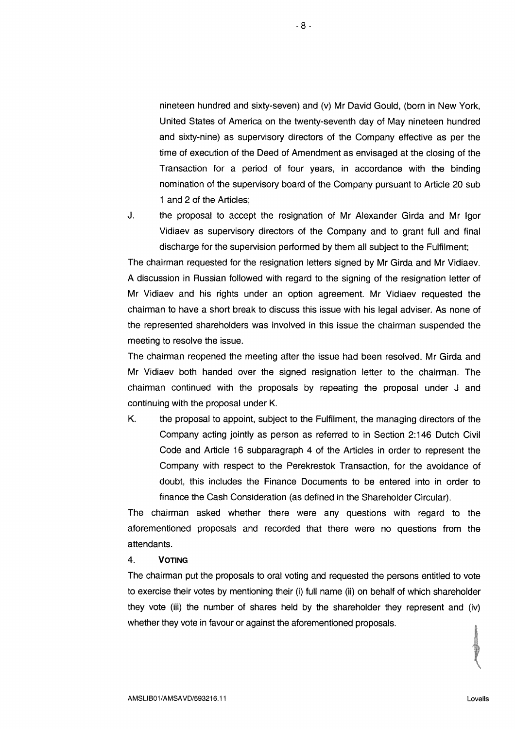nineteen hundred and sixty-seven) and (v) Mr David Gould, (born in New York, United States of America on the twenty-seventh day of May nineteen hundred and sixty-nine) as supervisory directors of the Company effective as per the time of execution of the Deed of Amendment as envisaged at the closing of the Transaction for a period of four years, in accordance with the binding nomination of the supervisory board of the Company pursuant to Article 20 sub <sup>1</sup> and 2 of the Articles;

J. the proposal to accept the resignation of Mr Alexander Girda and Mr lgor Vidiaev as supervisory directors of the Company and to grant full and final discharge for the supervision performed by them all subject to the Fulfilment;

The chairman requested for the resignation letters signed by Mr Girda and Mr Vidiaev. A discussion in Russian followed with regard to the signing of the resignation letter of Mr Vidiaev and his rights under an option agreement. Mr Vidiaev requested the chairman to have a short break to discuss this issue with his legal adviser. As none of the represented shareholders was involved in this issue the chairman suspended the meeting to resolve the issue.

The chairman reopened the meeting after the issue had been resolved. Mr Girda and Mr Vidiaev both handed over the signed resignation letter to the chairman. The chairman continued with the proposals by repeating the proposal under J and continuing with the proposal under K.

K. the proposal to appoint, subject to the Fulfilment, the managing directors of the Company acting jointly as person as referred to in Section 2:146 Dutch Civil Code and Article 16 subparagraph 4 of the Articles in order to represent the Company with respect to the Perekrestok Transaction, for the avoidance of doubt, this includes the Finance Documents to be entered into in order to finance the Cash Consideration (as defined in the Shareholder Circular).

The chairman asked whether there were any questions with regard to the aforementioned proposals and recorded that there were no questions from the attendants.

4. VOTING

The chairman put the proposals to oral voting and requested the persons entitled to vote to exercise their votes by mentioning their (i) full name (ii) on behalf of which shareholder they vote (iii) the number of shares held by the shareholder they represent and (iv) whether they vote in favour or against the aforementioned proposals.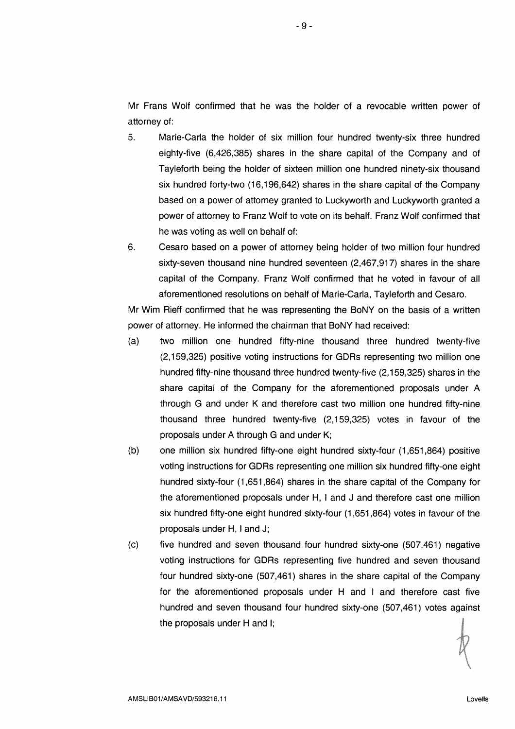Mr Frans Wolf confirmed that he was the holder of a revocable written power of attorney of:

- 5. Marie-Carla the holder of six million four hundred twenty-six three hundred eighty-five (6,426,385) shares in the share capital of the Company and of Tayleforth being the holder of sixteen million one hundred ninety-six thousand six hundred forty-two (16,196,642) shares in the share capital of the Company based on a power of attorney granted to Luckyworth and Luckyworth granted a power of attorney to Franz Wolf to vote on its behalf. Franz Wolf confirmed that he was voting as well on behalf of:
- 6. Cesaro based on a power of attorney being holder of two million four hundred sixty-seven thousand nine hundred seventeen (2,467,917) shares in the share capital of the Company. Franz Wolf confirmed that he voted in favour of all aforementioned resolutions on behalf of Marie-Carla, Tayleforth and Cesaro.

Mr Wim Rieff confirmed that he was representing the BoNY on the basis of a written power of attorney. He informed the chairman that BoNY had received:

- (a) two million one hundred fifty-nine thousand three hundred twenty-five (2,159,325) positive voting instructions for GDRs representing two million one hundred fifty-nine thousand three hundred twenty-five (2,159,325) shares in the share capital of the Company for the aforementioned proposals under A through G and under K and therefore cast two million one hundred fifty-nine thousand three hundred twenty-five (2,159,325) votes in favour of the proposals under A through G and under K;
- (b) one million six hundred fifty-one eight hundred sixty-four (1,651,864) positive voting instructions for GDRs representing one million six hundred fifty-one eight hundred sixty-four (1,651,864) shares in the share capital of the Company for the aforementioned proposals under H, <sup>I</sup> and J and therefore cast one million six hundred fifty-one eight hundred sixty-four (1,651,864) votes in favour of the proposals under H, <sup>I</sup> and J;
- (c) five hundred and seven thousand four hundred sixty-one (507,461) negative voting instructions for GDR5 representing five hundred and seven thousand four hundred sixty-one (507,461) shares in the share capital of the Company for the aforementioned proposals under <sup>H</sup> and <sup>I</sup> and therefore cast five hundred and seven thousand four hundred sixty-one (507,461) votes against the proposals under <sup>H</sup> and I;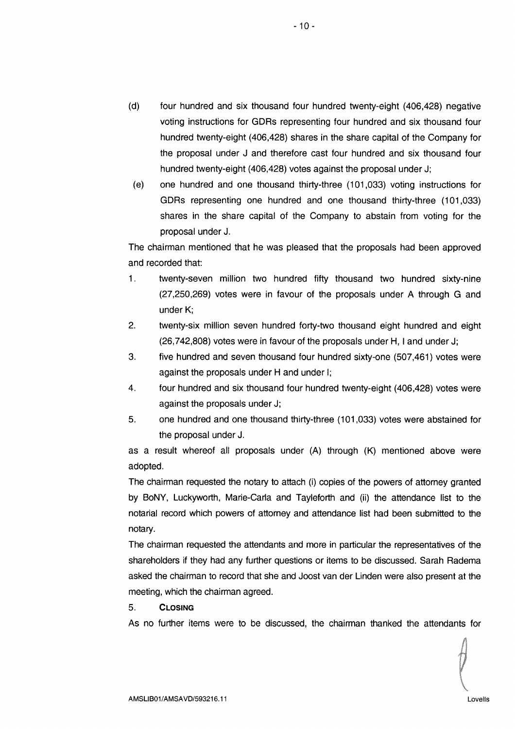- (d) four hundred and six thousand four hundred twenty-eight (406,428) negative voting instructions for GDRs representing four hundred and six thousand four hundred twenty-eight (406,428) shares in the share capital of the Company for the proposal under J and therefore cast four hundred and six thousand four hundred twenty-eight (406,428) votes against the proposal under J;
- (e) one hundred and one thousand thirty-three (101,033> voting instructions for GDRs representing one hundred and one thousand thirty-three (101,033) shares in the share capital of the Company to abstain from voting for the proposal under J.

The chairman mentioned that he was pleased that the proposals had been approved and recorded that:

- 1. twenty-seven million two hundred fifty thousand two hundred sixty-nine (27,250,269) votes were in favour of the proposals under A through G and under K;
- 2. twenty-six million seven hundred forty-two thousand eight hundred and eight (26,742,808) votes were in favour of the proposals under H, <sup>I</sup> and under J;
- 3. five hundred and seven thousand four hundred sixty-one (507,461) votes were against the proposals under <sup>H</sup> and under I;
- 4. four hundred and six thousand four hundred twenty-eight (406,428) votes were against the proposals under J;
- 5. one hundred and one thousand thirty-three (101,033) votes were abstained for the proposal under J.

as a result whereof all proposals under (A) through (K) mentioned above were adopted.

The chairman requested the notary to attach (i) copies of the powers of attorney granted by BoNY, Luckyworth, Marie-Carla and Tayleforth and (ii) the attendance list to the notarial record which powers of attorney and attendance list had been submitted to the notary.

The chairman requested the attendants and more in particular the representatives of the shareholders if they had any further questions or items to be discussed. Sarah Radema asked the chairman to record that she and Joost van der Linden were also present at the meeting, which the chairman agreed.

## 5. CLosING

As no further items were to be discussed, the chairman thanked the attendants for